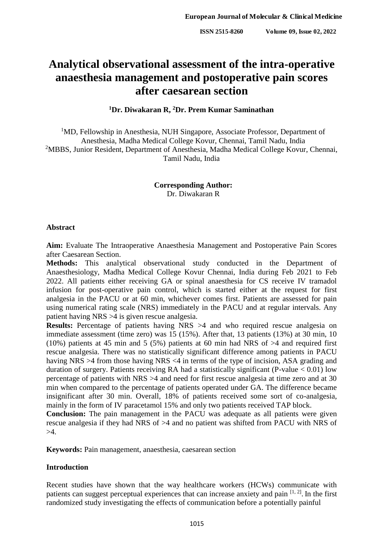# **Analytical observational assessment of the intra-operative anaesthesia management and postoperative pain scores after caesarean section**

**<sup>1</sup>Dr. Diwakaran R, <sup>2</sup>Dr. Prem Kumar Saminathan**

<sup>1</sup>MD, Fellowship in Anesthesia, NUH Singapore, Associate Professor, Department of Anesthesia, Madha Medical College Kovur, Chennai, Tamil Nadu, India <sup>2</sup>MBBS, Junior Resident, Department of Anesthesia, Madha Medical College Kovur, Chennai, Tamil Nadu, India

> **Corresponding Author:** Dr. Diwakaran R

#### **Abstract**

**Aim:** Evaluate The Intraoperative Anaesthesia Management and Postoperative Pain Scores after Caesarean Section.

**Methods:** This analytical observational study conducted in the Department of Anaesthesiology, Madha Medical College Kovur Chennai, India during Feb 2021 to Feb 2022. All patients either receiving GA or spinal anaesthesia for CS receive IV tramadol infusion for post-operative pain control, which is started either at the request for first analgesia in the PACU or at 60 min, whichever comes first. Patients are assessed for pain using numerical rating scale (NRS) immediately in the PACU and at regular intervals. Any patient having NRS >4 is given rescue analgesia.

**Results:** Percentage of patients having NRS >4 and who required rescue analgesia on immediate assessment (time zero) was 15 (15%). After that, 13 patients (13%) at 30 min, 10 (10%) patients at 45 min and 5 (5%) patients at 60 min had NRS of  $>4$  and required first rescue analgesia. There was no statistically significant difference among patients in PACU having NRS >4 from those having NRS <4 in terms of the type of incision, ASA grading and duration of surgery. Patients receiving RA had a statistically significant (P-value < 0.01) low percentage of patients with NRS >4 and need for first rescue analgesia at time zero and at 30 min when compared to the percentage of patients operated under GA. The difference became insignificant after 30 min. Overall, 18% of patients received some sort of co-analgesia, mainly in the form of IV paracetamol 15% and only two patients received TAP block.

**Conclusion:** The pain management in the PACU was adequate as all patients were given rescue analgesia if they had NRS of >4 and no patient was shifted from PACU with NRS of  $>4$ .

**Keywords:** Pain management, anaesthesia, caesarean section

#### **Introduction**

Recent studies have shown that the way healthcare workers (HCWs) communicate with patients can suggest perceptual experiences that can increase anxiety and pain  $[1, 2]$ . In the first randomized study investigating the effects of communication before a potentially painful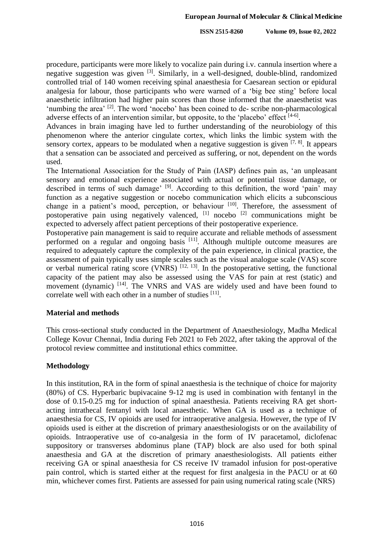procedure, participants were more likely to vocalize pain during i.v. cannula insertion where a negative suggestion was given [3]. Similarly, in a well-designed, double-blind, randomized controlled trial of 140 women receiving spinal anaesthesia for Caesarean section or epidural analgesia for labour, those participants who were warned of a 'big bee sting' before local anaesthetic infiltration had higher pain scores than those informed that the anaesthetist was 'numbing the area' <sup>[2]</sup>. The word 'nocebo' has been coined to de- scribe non-pharmacological adverse effects of an intervention similar, but opposite, to the 'placebo' effect [4-6].

Advances in brain imaging have led to further understanding of the neurobiology of this phenomenon where the anterior cingulate cortex, which links the limbic system with the sensory cortex, appears to be modulated when a negative suggestion is given  $[7, 8]$ . It appears that a sensation can be associated and perceived as suffering, or not, dependent on the words used.

The International Association for the Study of Pain (IASP) defines pain as, 'an unpleasant sensory and emotional experience associated with actual or potential tissue damage, or described in terms of such damage' <sup>[9]</sup>. According to this definition, the word 'pain' may function as a negative suggestion or nocebo communication which elicits a subconscious change in a patient's mood, perception, or behaviour [10]. Therefore, the assessment of postoperative pain using negatively valenced, <sup>[1]</sup> nocebo<sup>[2]</sup> communications might be expected to adversely affect patient perceptions of their postoperative experience.

Postoperative pain management is said to require accurate and reliable methods of assessment performed on a regular and ongoing basis [11]. Although multiple outcome measures are required to adequately capture the complexity of the pain experience, in clinical practice, the assessment of pain typically uses simple scales such as the visual analogue scale (VAS) score or verbal numerical rating score (VNRS)  $^{[12, 13]}$ . In the postoperative setting, the functional capacity of the patient may also be assessed using the VAS for pain at rest (static) and movement (dynamic) <sup>[14]</sup>. The VNRS and VAS are widely used and have been found to correlate well with each other in a number of studies [11].

#### **Material and methods**

This cross-sectional study conducted in the Department of Anaesthesiology, Madha Medical College Kovur Chennai, India during Feb 2021 to Feb 2022, after taking the approval of the protocol review committee and institutional ethics committee.

## **Methodology**

In this institution, RA in the form of spinal anaesthesia is the technique of choice for majority (80%) of CS. Hyperbaric bupivacaine 9-12 mg is used in combination with fentanyl in the dose of 0.15-0.25 mg for induction of spinal anaesthesia. Patients receiving RA get shortacting intrathecal fentanyl with local anaesthetic. When GA is used as a technique of anaesthesia for CS, IV opioids are used for intraoperative analgesia. However, the type of IV opioids used is either at the discretion of primary anaesthesiologists or on the availability of opioids. Intraoperative use of co-analgesia in the form of IV paracetamol, diclofenac suppository or transverses abdominus plane (TAP) block are also used for both spinal anaesthesia and GA at the discretion of primary anaesthesiologists. All patients either receiving GA or spinal anaesthesia for CS receive IV tramadol infusion for post-operative pain control, which is started either at the request for first analgesia in the PACU or at 60 min, whichever comes first. Patients are assessed for pain using numerical rating scale (NRS)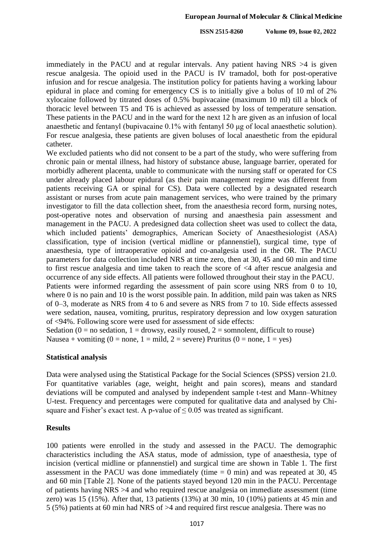**ISSN 2515-8260 Volume 09, Issue 02, 2022**

immediately in the PACU and at regular intervals. Any patient having NRS >4 is given rescue analgesia. The opioid used in the PACU is IV tramadol, both for post-operative infusion and for rescue analgesia. The institution policy for patients having a working labour epidural in place and coming for emergency CS is to initially give a bolus of 10 ml of 2% xylocaine followed by titrated doses of 0.5% bupivacaine (maximum 10 ml) till a block of thoracic level between T5 and T6 is achieved as assessed by loss of temperature sensation. These patients in the PACU and in the ward for the next 12 h are given as an infusion of local anaesthetic and fentanyl (bupivacaine 0.1% with fentanyl 50 μg of local anaesthetic solution). For rescue analgesia, these patients are given boluses of local anaesthetic from the epidural catheter.

We excluded patients who did not consent to be a part of the study, who were suffering from chronic pain or mental illness, had history of substance abuse, language barrier, operated for morbidly adherent placenta, unable to communicate with the nursing staff or operated for CS under already placed labour epidural (as their pain management regime was different from patients receiving GA or spinal for CS). Data were collected by a designated research assistant or nurses from acute pain management services, who were trained by the primary investigator to fill the data collection sheet, from the anaesthesia record form, nursing notes, post-operative notes and observation of nursing and anaesthesia pain assessment and management in the PACU. A predesigned data collection sheet was used to collect the data, which included patients' demographics, American Society of Anaesthesiologist (ASA) classification, type of incision (vertical midline or pfannenstiel), surgical time, type of anaesthesia, type of intraoperative opioid and co-analgesia used in the OR. The PACU parameters for data collection included NRS at time zero, then at 30, 45 and 60 min and time to first rescue analgesia and time taken to reach the score of <4 after rescue analgesia and occurrence of any side effects. All patients were followed throughout their stay in the PACU. Patients were informed regarding the assessment of pain score using NRS from 0 to 10,

where 0 is no pain and 10 is the worst possible pain. In addition, mild pain was taken as NRS of 0–3, moderate as NRS from 4 to 6 and severe as NRS from 7 to 10. Side effects assessed were sedation, nausea, vomiting, pruritus, respiratory depression and low oxygen saturation of <94%. Following score were used for assessment of side effects:

Sedation ( $0 = no$  sedation,  $1 =$  drowsy, easily roused,  $2 =$  somnolent, difficult to rouse) Nausea + vomiting  $(0 = none, 1 = mild, 2 = severe)$  Pruritus  $(0 = none, 1 = yes)$ 

## **Statistical analysis**

Data were analysed using the Statistical Package for the Social Sciences (SPSS) version 21.0. For quantitative variables (age, weight, height and pain scores), means and standard deviations will be computed and analysed by independent sample t-test and Mann–Whitney U-test. Frequency and percentages were computed for qualitative data and analysed by Chisquare and Fisher's exact test. A p-value of  $\leq 0.05$  was treated as significant.

## **Results**

100 patients were enrolled in the study and assessed in the PACU. The demographic characteristics including the ASA status, mode of admission, type of anaesthesia, type of incision (vertical midline or pfannenstiel) and surgical time are shown in Table 1. The first assessment in the PACU was done immediately (time  $= 0$  min) and was repeated at 30, 45 and 60 min [Table 2]. None of the patients stayed beyond 120 min in the PACU. Percentage of patients having NRS >4 and who required rescue analgesia on immediate assessment (time zero) was 15 (15%). After that, 13 patients (13%) at 30 min, 10 (10%) patients at 45 min and 5 (5%) patients at 60 min had NRS of >4 and required first rescue analgesia. There was no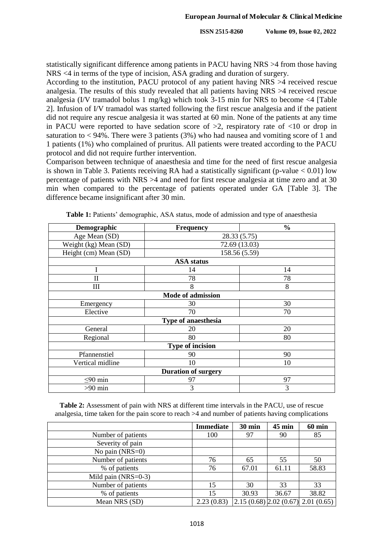statistically significant difference among patients in PACU having NRS >4 from those having NRS <4 in terms of the type of incision, ASA grading and duration of surgery.

According to the institution, PACU protocol of any patient having NRS >4 received rescue analgesia. The results of this study revealed that all patients having NRS >4 received rescue analgesia (I/V tramadol bolus 1 mg/kg) which took 3-15 min for NRS to become <4 [Table 2]. Infusion of I/V tramadol was started following the first rescue analgesia and if the patient did not require any rescue analgesia it was started at 60 min. None of the patients at any time in PACU were reported to have sedation score of  $>2$ , respiratory rate of  $<10$  or drop in saturation to  $<$  94%. There were 3 patients (3%) who had nausea and vomiting score of 1 and 1 patients (1%) who complained of pruritus. All patients were treated according to the PACU protocol and did not require further intervention.

Comparison between technique of anaesthesia and time for the need of first rescue analgesia is shown in Table 3. Patients receiving RA had a statistically significant (p-value  $< 0.01$ ) low percentage of patients with NRS >4 and need for first rescue analgesia at time zero and at 30 min when compared to the percentage of patients operated under GA [Table 3]. The difference became insignificant after 30 min.

| Demographic                | <b>Frequency</b>         | $\frac{0}{0}$ |  |  |  |
|----------------------------|--------------------------|---------------|--|--|--|
| Age Mean (SD)              | 28.33 (5.75)             |               |  |  |  |
| Weight (kg) Mean (SD)      | 72.69 (13.03)            |               |  |  |  |
| Height (cm) Mean (SD)      |                          | 158.56 (5.59) |  |  |  |
|                            | <b>ASA</b> status        |               |  |  |  |
| I                          | 14                       | 14            |  |  |  |
| П                          | 78                       | 78            |  |  |  |
| III                        | 8                        | 8             |  |  |  |
|                            | <b>Mode of admission</b> |               |  |  |  |
| Emergency                  | 30                       | 30            |  |  |  |
| Elective                   | 70                       | 70            |  |  |  |
| <b>Type of anaesthesia</b> |                          |               |  |  |  |
| General                    | 20                       | 20            |  |  |  |
| Regional                   | 80                       | 80            |  |  |  |
| <b>Type of incision</b>    |                          |               |  |  |  |
| Pfannenstiel               | 90                       | 90            |  |  |  |
| Vertical midline           | 10                       | 10            |  |  |  |
| <b>Duration of surgery</b> |                          |               |  |  |  |
| $\leq 90$ min              | 97                       | 97            |  |  |  |
| $>90$ min                  | 3                        | 3             |  |  |  |

**Table 1:** Patients' demographic, ASA status, mode of admission and type of anaesthesia

**Table 2:** Assessment of pain with NRS at different time intervals in the PACU, use of rescue analgesia, time taken for the pain score to reach >4 and number of patients having complications

|                       | <b>Immediate</b> | $30 \text{ min}$ | $45 \text{ min}$ | <b>60 min</b>                                   |
|-----------------------|------------------|------------------|------------------|-------------------------------------------------|
| Number of patients    | 100              | 97               | 90               | 85                                              |
| Severity of pain      |                  |                  |                  |                                                 |
| No pain $(NRS=0)$     |                  |                  |                  |                                                 |
| Number of patients    | 76               | 65               | 55               | 50                                              |
| % of patients         | 76               | 67.01            | 61.11            | 58.83                                           |
| Mild pain $(NRS=0-3)$ |                  |                  |                  |                                                 |
| Number of patients    | 15               | 30               | 33               | 33                                              |
| % of patients         | 15               | 30.93            | 36.67            | 38.82                                           |
| Mean NRS (SD)         | 2.23(0.83)       |                  |                  | $\left[2.15(0.68) 2.02(0.67) 2.01(0.65)\right]$ |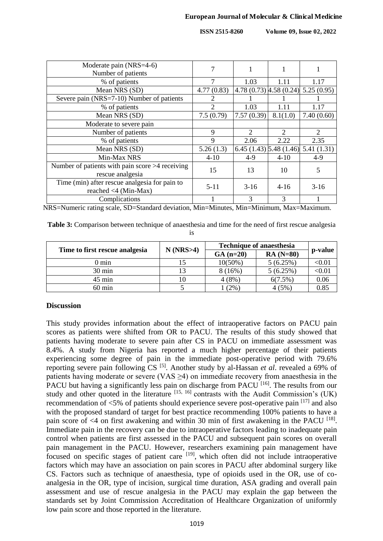**ISSN 2515-8260 Volume 09, Issue 02, 2022**

| Moderate pain (NRS=4-6)<br>Number of patients                         |                       |            |                             |                                       |
|-----------------------------------------------------------------------|-----------------------|------------|-----------------------------|---------------------------------------|
| % of patients                                                         |                       | 1.03       | 1.11                        | 1.17                                  |
| Mean NRS (SD)                                                         | 4.77(0.83)            |            |                             | $4.78(0.73)$ $4.58(0.24)$ 5.25 (0.95) |
| Severe pain (NRS=7-10) Number of patients                             |                       |            |                             |                                       |
| % of patients                                                         | $\mathcal{D}_{\cdot}$ | 1.03       | 1.11                        | 1.17                                  |
| Mean NRS (SD)                                                         | 7.5(0.79)             | 7.57(0.39) | 8.1(1.0)                    | 7.40(0.60)                            |
| Moderate to severe pain                                               |                       |            |                             |                                       |
| Number of patients                                                    | 9                     | 2          | $\mathcal{D}_{\mathcal{L}}$ | 2                                     |
| % of patients                                                         | 9                     | 2.06       | 2.22                        | 2.35                                  |
| Mean NRS (SD)                                                         | 5.26(1.3)             |            |                             | $(1.43)$ 5.48 $(1.46)$ 5.41 $(1.31)$  |
| Min-Max NRS                                                           | $4 - 10$              | $4 - 9$    | $4 - 10$                    | $4 - 9$                               |
| Number of patients with pain score $>4$ receiving<br>rescue analgesia | 15                    | 13         | 10                          | 5                                     |
| Time (min) after rescue analgesia for pain to<br>reached <4 (Min-Max) | $5 - 11$              | $3-16$     | $4 - 16$                    | $3-16$                                |
| Complications                                                         |                       | 3          | 3                           |                                       |

NRS=Numeric rating scale, SD=Standard deviation, Min=Minutes, Min=Minimum, Max=Maximum.

|  |  | <b>Table 3:</b> Comparison between technique of anaesthesia and time for the need of first rescue analgesia |
|--|--|-------------------------------------------------------------------------------------------------------------|
|  |  |                                                                                                             |

| ۰<br>۰. |
|---------|
| $\sim$  |
|         |

|                                | $N$ (NRS $>4$ ) | <b>Technique of anaesthesia</b> |            |         |
|--------------------------------|-----------------|---------------------------------|------------|---------|
| Time to first rescue analgesia |                 | $GA(n=20)$                      | $RA(N=80)$ | p-value |
| 0 min                          |                 | $10(50\%)$                      | 5(6.25%)   | < 0.01  |
| $30 \text{ min}$               |                 | 8(16%)                          | 5(6.25%)   | < 0.01  |
| $45 \text{ min}$               |                 | $4(8\%)$                        | $6(7.5\%)$ | 0.06    |
| $60 \text{ min}$               |                 | $(2\%)$                         | 4(5%)      | 0.85    |

## **Discussion**

This study provides information about the effect of intraoperative factors on PACU pain scores as patients were shifted from OR to PACU. The results of this study showed that patients having moderate to severe pain after CS in PACU on immediate assessment was 8.4%. A study from Nigeria has reported a much higher percentage of their patients experiencing some degree of pain in the immediate post-operative period with 79.6% reporting severe pain following CS<sup>[5]</sup>. Another study by al-Hassan *et al.* revealed a 69% of patients having moderate or severe (VAS  $\geq$ 4) on immediate recovery from anaesthesia in the PACU but having a significantly less pain on discharge from PACU<sup>[16]</sup>. The results from our study and other quoted in the literature  $[15, 16]$  contrasts with the Audit Commission's (UK) recommendation of  $\langle 5\%$  of patients should experience severe post-operative pain  $\left[17\right]$  and also with the proposed standard of target for best practice recommending 100% patients to have a pain score of  $\leq 4$  on first awakening and within 30 min of first awakening in the PACU  $^{[18]}$ . Immediate pain in the recovery can be due to intraoperative factors leading to inadequate pain control when patients are first assessed in the PACU and subsequent pain scores on overall pain management in the PACU. However, researchers examining pain management have focused on specific stages of patient care <sup>[19]</sup>, which often did not include intraoperative factors which may have an association on pain scores in PACU after abdominal surgery like CS. Factors such as technique of anaesthesia, type of opioids used in the OR, use of coanalgesia in the OR, type of incision, surgical time duration, ASA grading and overall pain assessment and use of rescue analgesia in the PACU may explain the gap between the standards set by Joint Commission Accreditation of Healthcare Organization of uniformly low pain score and those reported in the literature.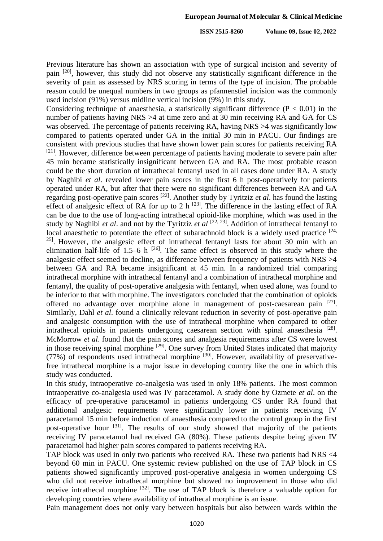Previous literature has shown an association with type of surgical incision and severity of pain <sup>[20]</sup>, however, this study did not observe any statistically significant difference in the severity of pain as assessed by NRS scoring in terms of the type of incision. The probable reason could be unequal numbers in two groups as pfannenstiel incision was the commonly used incision (91%) versus midline vertical incision (9%) in this study.

Considering technique of anaesthesia, a statistically significant difference  $(P < 0.01)$  in the number of patients having NRS >4 at time zero and at 30 min receiving RA and GA for CS was observed. The percentage of patients receiving RA, having NRS  $>4$  was significantly low compared to patients operated under GA in the initial 30 min in PACU. Our findings are consistent with previous studies that have shown lower pain scores for patients receiving RA <sup>[21]</sup>. However, difference between percentage of patients having moderate to severe pain after 45 min became statistically insignificant between GA and RA. The most probable reason could be the short duration of intrathecal fentanyl used in all cases done under RA. A study by Naghibi *et al*. revealed lower pain scores in the first 6 h post-operatively for patients operated under RA, but after that there were no significant differences between RA and GA regarding post-operative pain scores [22] . Another study by Tyritziz *et al*. has found the lasting effect of analgesic effect of RA for up to 2 h  $^{[23]}$ . The difference in the lasting effect of RA can be due to the use of long-acting intrathecal opioid-like morphine, which was used in the study by Naghibi *et al*. and not by the Tyritziz *et al* [22, 23] . Addition of intrathecal fentanyl to local anaesthetic to potentiate the effect of subarachnoid block is a widely used practice  $[24, 12]$ <sup>25]</sup>. However, the analgesic effect of intrathecal fentanyl lasts for about 30 min with an elimination half-life of 1.5–6 h  $^{[26]}$ . The same effect is observed in this study where the analgesic effect seemed to decline, as difference between frequency of patients with NRS >4 between GA and RA became insignificant at 45 min. In a randomized trial comparing intrathecal morphine with intrathecal fentanyl and a combination of intrathecal morphine and fentanyl, the quality of post-operative analgesia with fentanyl, when used alone, was found to be inferior to that with morphine. The investigators concluded that the combination of opioids offered no advantage over morphine alone in management of post-caesarean pain  $[27]$ . Similarly, Dahl *et al*. found a clinically relevant reduction in severity of post-operative pain and analgesic consumption with the use of intrathecal morphine when compared to other intrathecal opioids in patients undergoing caesarean section with spinal anaesthesia<sup>[28]</sup>. McMorrow *et al*. found that the pain scores and analgesia requirements after CS were lowest in those receiving spinal morphine <sup>[29]</sup>. One survey from United States indicated that majority (77%) of respondents used intrathecal morphine <sup>[30]</sup>. However, availability of preservativefree intrathecal morphine is a major issue in developing country like the one in which this study was conducted.

In this study, intraoperative co-analgesia was used in only 18% patients. The most common intraoperative co-analgesia used was IV paracetamol. A study done by Ozmete *et al*. on the efficacy of pre-operative paracetamol in patients undergoing CS under RA found that additional analgesic requirements were significantly lower in patients receiving IV paracetamol 15 min before induction of anaesthesia compared to the control group in the first post-operative hour <sup>[31]</sup>. The results of our study showed that majority of the patients receiving IV paracetamol had received GA (80%). These patients despite being given IV paracetamol had higher pain scores compared to patients receiving RA.

TAP block was used in only two patients who received RA. These two patients had NRS <4 beyond 60 min in PACU. One systemic review published on the use of TAP block in CS patients showed significantly improved post-operative analgesia in women undergoing CS who did not receive intrathecal morphine but showed no improvement in those who did receive intrathecal morphine  $[32]$ . The use of TAP block is therefore a valuable option for developing countries where availability of intrathecal morphine is an issue.

Pain management does not only vary between hospitals but also between wards within the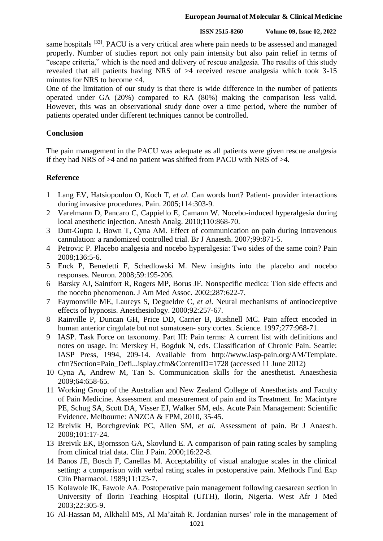#### **European Journal of Molecular & Clinical Medicine**

#### **ISSN 2515-8260 Volume 09, Issue 02, 2022**

same hospitals <sup>[33]</sup>. PACU is a very critical area where pain needs to be assessed and managed properly. Number of studies report not only pain intensity but also pain relief in terms of "escape criteria," which is the need and delivery of rescue analgesia. The results of this study revealed that all patients having NRS of >4 received rescue analgesia which took 3-15 minutes for NRS to become <4.

One of the limitation of our study is that there is wide difference in the number of patients operated under GA (20%) compared to RA (80%) making the comparison less valid. However, this was an observational study done over a time period, where the number of patients operated under different techniques cannot be controlled.

## **Conclusion**

The pain management in the PACU was adequate as all patients were given rescue analgesia if they had NRS of >4 and no patient was shifted from PACU with NRS of >4.

# **Reference**

- 1 Lang EV, Hatsiopoulou O, Koch T, *et al.* Can words hurt? Patient- provider interactions during invasive procedures. Pain. 2005;114:303-9.
- 2 Varelmann D, Pancaro C, Cappiello E, Camann W. Nocebo-induced hyperalgesia during local anesthetic injection. Anesth Analg. 2010;110:868-70.
- 3 Dutt-Gupta J, Bown T, Cyna AM. Effect of communication on pain during intravenous cannulation: a randomized controlled trial. Br J Anaesth. 2007;99:871-5.
- 4 Petrovic P. Placebo analgesia and nocebo hyperalgesia: Two sides of the same coin? Pain 2008;136:5-6.
- 5 Enck P, Benedetti F, Schedlowski M. New insights into the placebo and nocebo responses. Neuron. 2008;59:195-206.
- 6 Barsky AJ, Saintfort R, Rogers MP, Borus JF. Nonspecific medica: Tion side effects and the nocebo phenomenon. J Am Med Assoc. 2002;287:622-7.
- 7 Faymonville ME, Laureys S, Degueldre C, *et al.* Neural mechanisms of antinociceptive effects of hypnosis. Anesthesiology. 2000;92:257-67.
- 8 Rainville P, Duncan GH, Price DD, Carrier B, Bushnell MC. Pain affect encoded in human anterior cingulate but not somatosen- sory cortex. Science. 1997;277:968-71.
- 9 IASP. Task Force on taxonomy. Part III: Pain terms: A current list with definitions and notes on usage. In: Merskey H, Bogduk N, eds. Classification of Chronic Pain. Seattle: IASP Press, 1994, 209-14. Available from http://www.iasp-pain.org/AM/Template. cfm?Section=Pain\_Defi...isplay.cfm&ContentID=1728 (accessed 11 June 2012)
- 10 Cyna A, Andrew M, Tan S. Communication skills for the anesthetist. Anaesthesia 2009;64:658-65.
- 11 Working Group of the Australian and New Zealand College of Anesthetists and Faculty of Pain Medicine. Assessment and measurement of pain and its Treatment. In: Macintyre PE, Schug SA, Scott DA, Visser EJ, Walker SM, eds. Acute Pain Management: Scientific Evidence. Melbourne: ANZCA & FPM, 2010, 35-45.
- 12 Breivik H, Borchgrevink PC, Allen SM, *et al.* Assessment of pain. Br J Anaesth. 2008;101:17-24.
- 13 Breivik EK, Bjornsson GA, Skovlund E. A comparison of pain rating scales by sampling from clinical trial data. Clin J Pain. 2000;16:22-8.
- 14 Banos JE, Bosch F, Canellas M. Acceptability of visual analogue scales in the clinical setting: a comparison with verbal rating scales in postoperative pain. Methods Find Exp Clin Pharmacol. 1989;11:123-7.
- 15 Kolawole IK, Fawole AA. Postoperative pain management following caesarean section in University of Ilorin Teaching Hospital (UITH), Ilorin, Nigeria. West Afr J Med 2003;22:305‑9.
- 16 Al-Hassan M, Alkhalil MS, Al Ma'aitah R. Jordanian nurses' role in the management of